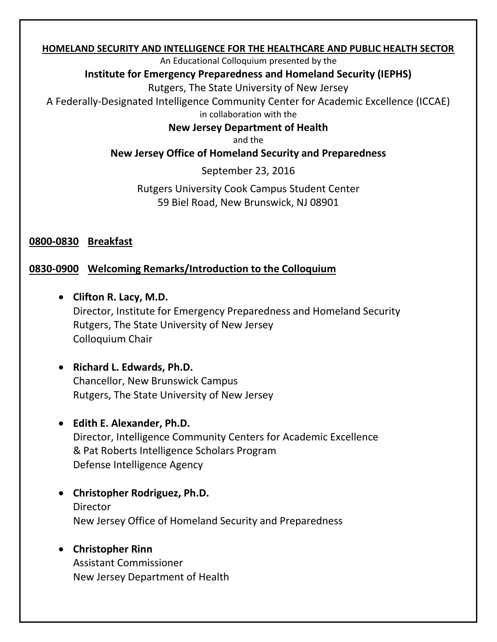#### **HOMELAND SECURITY AND INTELLIGENCE FOR THE HEALTHCARE AND PUBLIC HEALTH SECTOR**

An Educational Colloquium presented by the

#### **Institute for Emergency Preparedness and Homeland Security (IEPHS)**

Rutgers, The State University of New Jersey

A Federally-Designated Intelligence Community Center for Academic Excellence (ICCAE) in collaboration with the

### **New Jersey Department of Health**

and the

### **New Jersey Office of Homeland Security and Preparedness**

September 23, 2016

### Rutgers University Cook Campus Student Center 59 Biel Road, New Brunswick, NJ 08901

**0800-0830 Breakfast**

### **0830-0900 Welcoming Remarks/Introduction to the Colloquium**

- **Clifton R. Lacy, M.D.** Director, Institute for Emergency Preparedness and Homeland Security Rutgers, The State University of New Jersey Colloquium Chair
- **Richard L. Edwards, Ph.D.** Chancellor, New Brunswick Campus Rutgers, The State University of New Jersey
- **Edith E. Alexander, Ph.D.** Director, Intelligence Community Centers for Academic Excellence

& Pat Roberts Intelligence Scholars Program Defense Intelligence Agency

- **Christopher Rodriguez, Ph.D.** Director New Jersey Office of Homeland Security and Preparedness
- **Christopher Rinn** Assistant Commissioner New Jersey Department of Health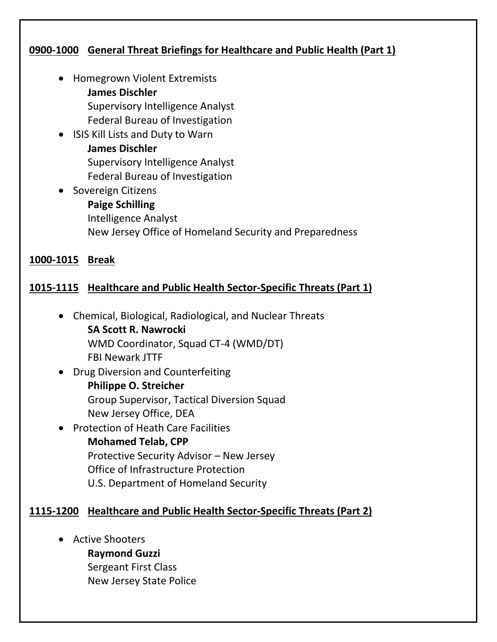### **0900-1000 General Threat Briefings for Healthcare and Public Health (Part 1)**

- Homegrown Violent Extremists **James Dischler**  Supervisory Intelligence Analyst Federal Bureau of Investigation
- ISIS Kill Lists and Duty to Warn **James Dischler**  Supervisory Intelligence Analyst Federal Bureau of Investigation
- Sovereign Citizens **Paige Schilling** Intelligence Analyst New Jersey Office of Homeland Security and Preparedness

#### **1000-1015 Break**

### **1015-1115 Healthcare and Public Health Sector-Specific Threats (Part 1)**

- Chemical, Biological, Radiological, and Nuclear Threats **SA Scott R. Nawrocki**  WMD Coordinator, Squad CT-4 (WMD/DT) FBI Newark JTTF
- Drug Diversion and Counterfeiting **Philippe O. Streicher** Group Supervisor, Tactical Diversion Squad New Jersey Office, DEA
- Protection of Heath Care Facilities **Mohamed Telab, CPP** Protective Security Advisor – New Jersey Office of Infrastructure Protection U.S. Department of Homeland Security

#### **1115-1200 Healthcare and Public Health Sector-Specific Threats (Part 2)**

- Active Shooters
	- **Raymond Guzzi**
	- Sergeant First Class New Jersey State Police